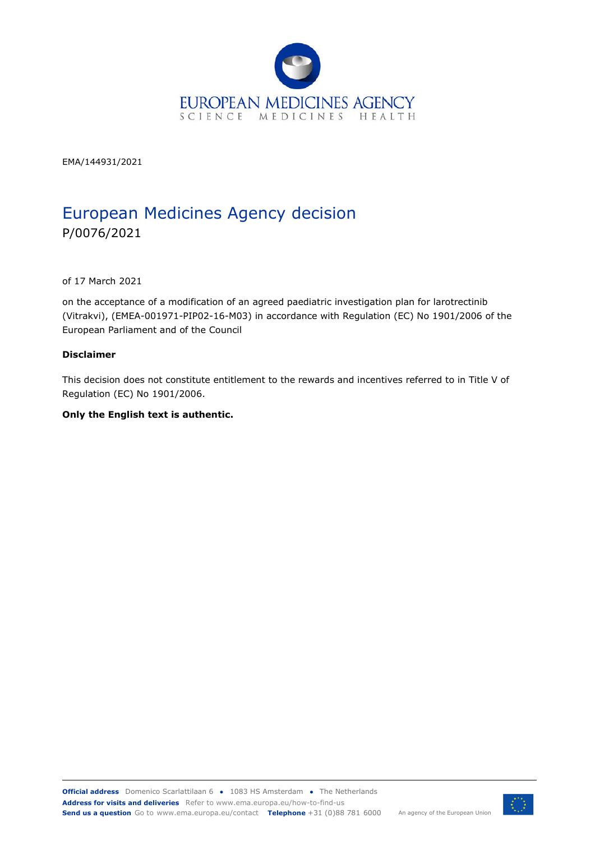

EMA/144931/2021

# European Medicines Agency decision P/0076/2021

of 17 March 2021

on the acceptance of a modification of an agreed paediatric investigation plan for larotrectinib (Vitrakvi), (EMEA-001971-PIP02-16-M03) in accordance with Regulation (EC) No 1901/2006 of the European Parliament and of the Council

#### **Disclaimer**

This decision does not constitute entitlement to the rewards and incentives referred to in Title V of Regulation (EC) No 1901/2006.

#### **Only the English text is authentic.**

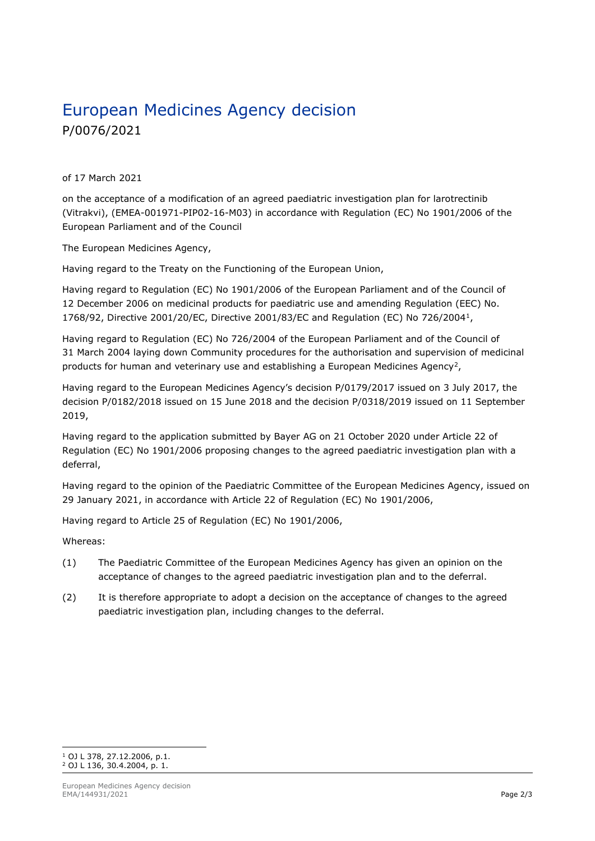# European Medicines Agency decision P/0076/2021

of 17 March 2021

on the acceptance of a modification of an agreed paediatric investigation plan for larotrectinib (Vitrakvi), (EMEA-001971-PIP02-16-M03) in accordance with Regulation (EC) No 1901/2006 of the European Parliament and of the Council

The European Medicines Agency,

Having regard to the Treaty on the Functioning of the European Union,

Having regard to Regulation (EC) No 1901/2006 of the European Parliament and of the Council of 12 December 2006 on medicinal products for paediatric use and amending Regulation (EEC) No. 1768/92, Directive 2001/20/EC, Directive 2001/83/EC and Regulation (EC) No 726/20041,

Having regard to Regulation (EC) No 726/2004 of the European Parliament and of the Council of 31 March 2004 laying down Community procedures for the authorisation and supervision of medicinal products for human and veterinary use and establishing a European Medicines Agency<sup>2</sup>,

Having regard to the European Medicines Agency's decision P/0179/2017 issued on 3 July 2017, the decision P/0182/2018 issued on 15 June 2018 and the decision P/0318/2019 issued on 11 September 2019,

Having regard to the application submitted by Bayer AG on 21 October 2020 under Article 22 of Regulation (EC) No 1901/2006 proposing changes to the agreed paediatric investigation plan with a deferral,

Having regard to the opinion of the Paediatric Committee of the European Medicines Agency, issued on 29 January 2021, in accordance with Article 22 of Regulation (EC) No 1901/2006,

Having regard to Article 25 of Regulation (EC) No 1901/2006,

Whereas:

- (1) The Paediatric Committee of the European Medicines Agency has given an opinion on the acceptance of changes to the agreed paediatric investigation plan and to the deferral.
- (2) It is therefore appropriate to adopt a decision on the acceptance of changes to the agreed paediatric investigation plan, including changes to the deferral.

<sup>1</sup> OJ L 378, 27.12.2006, p.1. <sup>2</sup> OJ L 136, 30.4.2004, p. 1.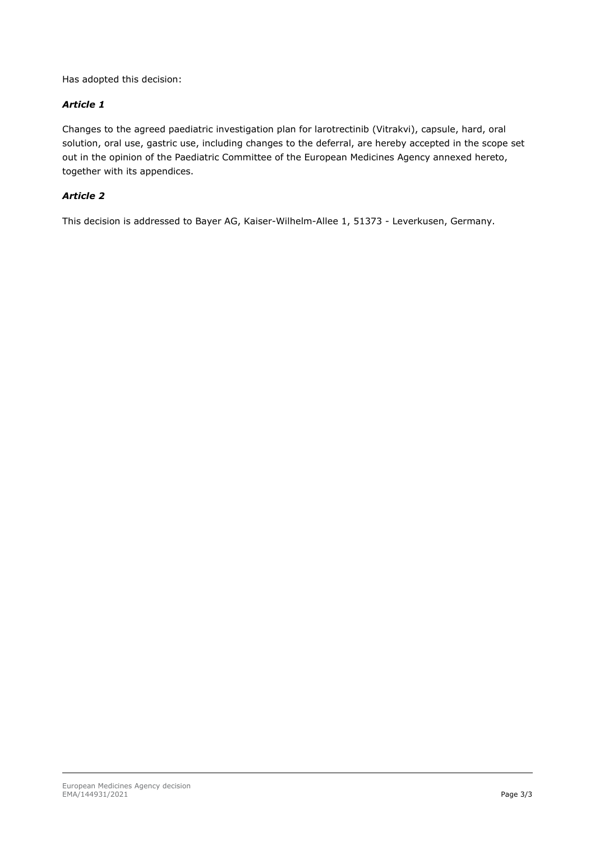Has adopted this decision:

#### *Article 1*

Changes to the agreed paediatric investigation plan for larotrectinib (Vitrakvi), capsule, hard, oral solution, oral use, gastric use, including changes to the deferral, are hereby accepted in the scope set out in the opinion of the Paediatric Committee of the European Medicines Agency annexed hereto, together with its appendices.

#### *Article 2*

This decision is addressed to Bayer AG, Kaiser-Wilhelm-Allee 1, 51373 - Leverkusen, Germany.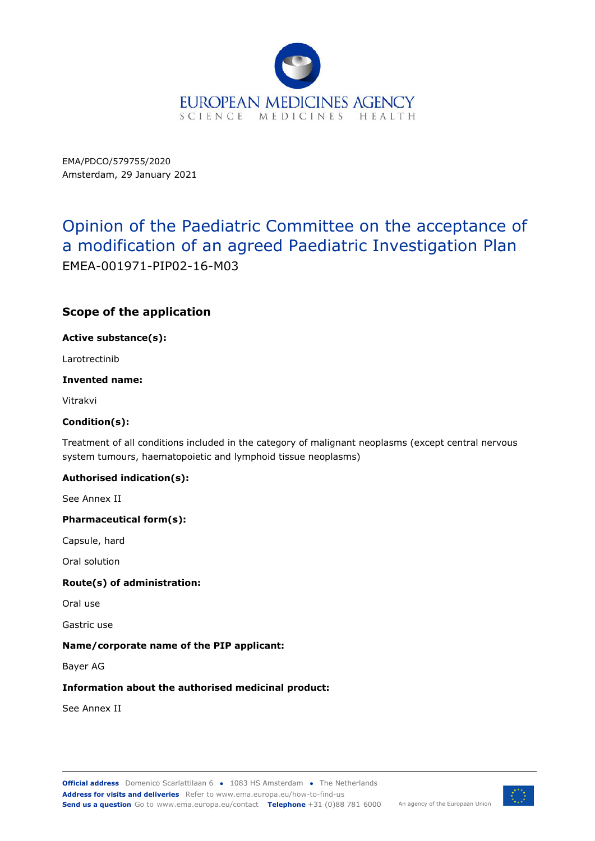

EMA/PDCO/579755/2020 Amsterdam, 29 January 2021

# Opinion of the Paediatric Committee on the acceptance of a modification of an agreed Paediatric Investigation Plan EMEA-001971-PIP02-16-M03

## **Scope of the application**

**Active substance(s):** 

Larotrectinib

#### **Invented name:**

Vitrakvi

#### **Condition(s):**

Treatment of all conditions included in the category of malignant neoplasms (except central nervous system tumours, haematopoietic and lymphoid tissue neoplasms)

#### **Authorised indication(s):**

See Annex II

#### **Pharmaceutical form(s):**

Capsule, hard

Oral solution

#### **Route(s) of administration:**

Oral use

Gastric use

#### **Name/corporate name of the PIP applicant:**

Bayer AG

#### **Information about the authorised medicinal product:**

See Annex II

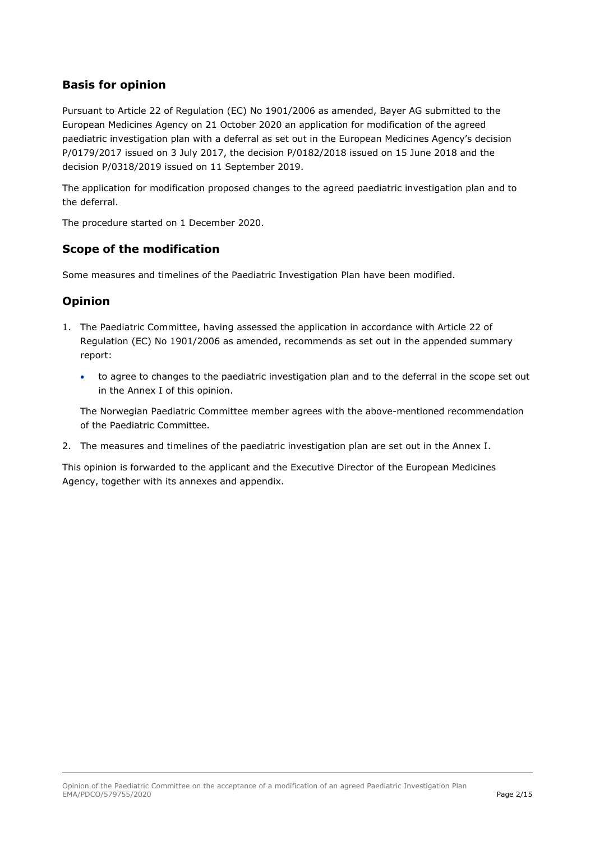## **Basis for opinion**

Pursuant to Article 22 of Regulation (EC) No 1901/2006 as amended, Bayer AG submitted to the European Medicines Agency on 21 October 2020 an application for modification of the agreed paediatric investigation plan with a deferral as set out in the European Medicines Agency's decision P/0179/2017 issued on 3 July 2017, the decision P/0182/2018 issued on 15 June 2018 and the decision P/0318/2019 issued on 11 September 2019.

The application for modification proposed changes to the agreed paediatric investigation plan and to the deferral.

The procedure started on 1 December 2020.

### **Scope of the modification**

Some measures and timelines of the Paediatric Investigation Plan have been modified.

## **Opinion**

- 1. The Paediatric Committee, having assessed the application in accordance with Article 22 of Regulation (EC) No 1901/2006 as amended, recommends as set out in the appended summary report:
	- to agree to changes to the paediatric investigation plan and to the deferral in the scope set out in the Annex I of this opinion.

The Norwegian Paediatric Committee member agrees with the above-mentioned recommendation of the Paediatric Committee.

2. The measures and timelines of the paediatric investigation plan are set out in the Annex I.

This opinion is forwarded to the applicant and the Executive Director of the European Medicines Agency, together with its annexes and appendix.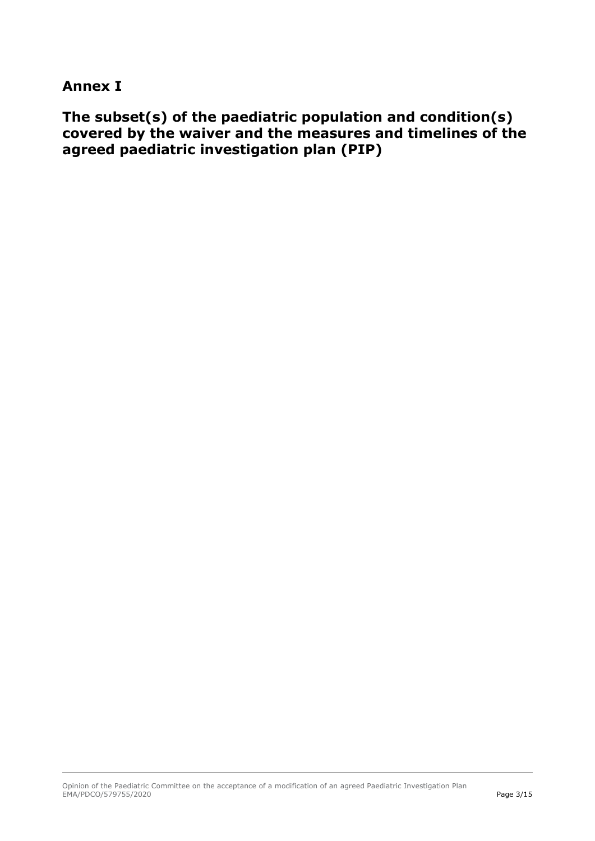## **Annex I**

**The subset(s) of the paediatric population and condition(s) covered by the waiver and the measures and timelines of the agreed paediatric investigation plan (PIP)**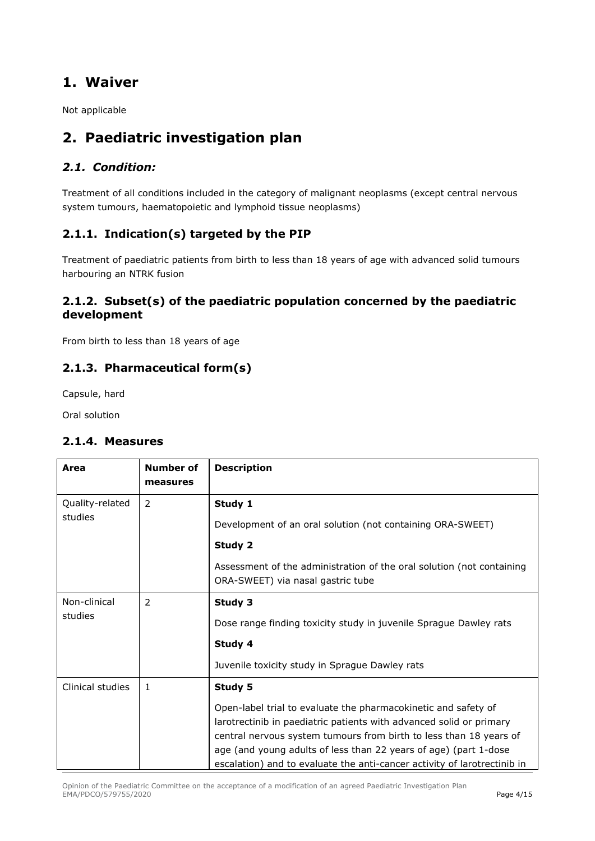## **1. Waiver**

Not applicable

## **2. Paediatric investigation plan**

## *2.1. Condition:*

Treatment of all conditions included in the category of malignant neoplasms (except central nervous system tumours, haematopoietic and lymphoid tissue neoplasms)

## **2.1.1. Indication(s) targeted by the PIP**

Treatment of paediatric patients from birth to less than 18 years of age with advanced solid tumours harbouring an NTRK fusion

## **2.1.2. Subset(s) of the paediatric population concerned by the paediatric development**

From birth to less than 18 years of age

## **2.1.3. Pharmaceutical form(s)**

Capsule, hard

Oral solution

### **2.1.4. Measures**

| Area                       | Number of<br>measures | <b>Description</b>                                                                                                                                                                                                                                                                                                                                                     |
|----------------------------|-----------------------|------------------------------------------------------------------------------------------------------------------------------------------------------------------------------------------------------------------------------------------------------------------------------------------------------------------------------------------------------------------------|
| Quality-related<br>studies | 2                     | Study 1<br>Development of an oral solution (not containing ORA-SWEET)<br>Study 2                                                                                                                                                                                                                                                                                       |
|                            |                       | Assessment of the administration of the oral solution (not containing<br>ORA-SWEET) via nasal gastric tube                                                                                                                                                                                                                                                             |
| Non-clinical<br>studies    | 2                     | Study 3<br>Dose range finding toxicity study in juvenile Sprague Dawley rats<br>Study 4<br>Juvenile toxicity study in Sprague Dawley rats                                                                                                                                                                                                                              |
| Clinical studies           | $\mathbf{1}$          | Study 5<br>Open-label trial to evaluate the pharmacokinetic and safety of<br>larotrectinib in paediatric patients with advanced solid or primary<br>central nervous system tumours from birth to less than 18 years of<br>age (and young adults of less than 22 years of age) (part 1-dose<br>escalation) and to evaluate the anti-cancer activity of larotrectinib in |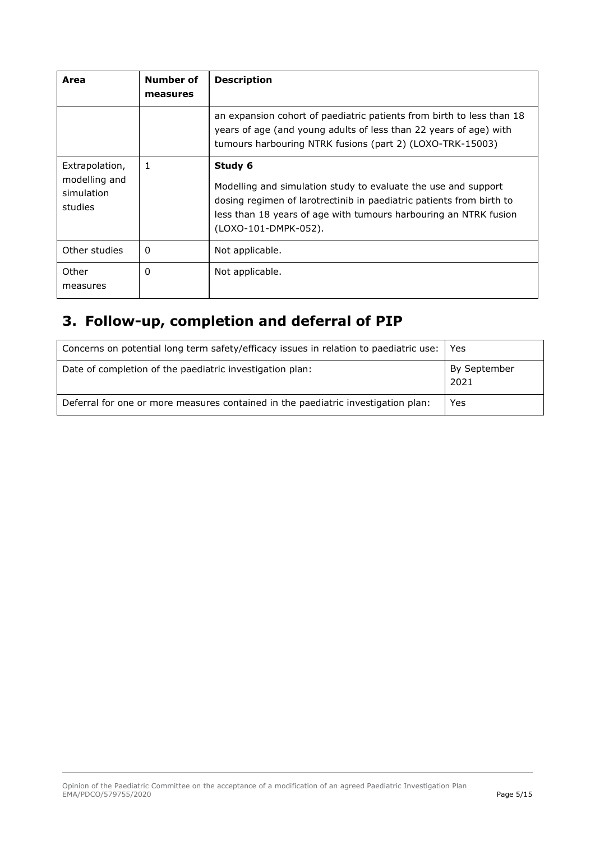| Area                                                     | Number of<br>measures | <b>Description</b>                                                                                                                                                                                                                            |
|----------------------------------------------------------|-----------------------|-----------------------------------------------------------------------------------------------------------------------------------------------------------------------------------------------------------------------------------------------|
|                                                          |                       | an expansion cohort of paediatric patients from birth to less than 18<br>years of age (and young adults of less than 22 years of age) with<br>tumours harbouring NTRK fusions (part 2) (LOXO-TRK-15003)                                       |
| Extrapolation,<br>modelling and<br>simulation<br>studies | 1                     | Study 6<br>Modelling and simulation study to evaluate the use and support<br>dosing regimen of larotrectinib in paediatric patients from birth to<br>less than 18 years of age with tumours harbouring an NTRK fusion<br>(LOXO-101-DMPK-052). |
| Other studies                                            | 0                     | Not applicable.                                                                                                                                                                                                                               |
| Other<br>measures                                        | 0                     | Not applicable.                                                                                                                                                                                                                               |

# **3. Follow-up, completion and deferral of PIP**

| Concerns on potential long term safety/efficacy issues in relation to paediatric use: | Yes                  |
|---------------------------------------------------------------------------------------|----------------------|
| Date of completion of the paediatric investigation plan:                              | By September<br>2021 |
| Deferral for one or more measures contained in the paediatric investigation plan:     | Yes                  |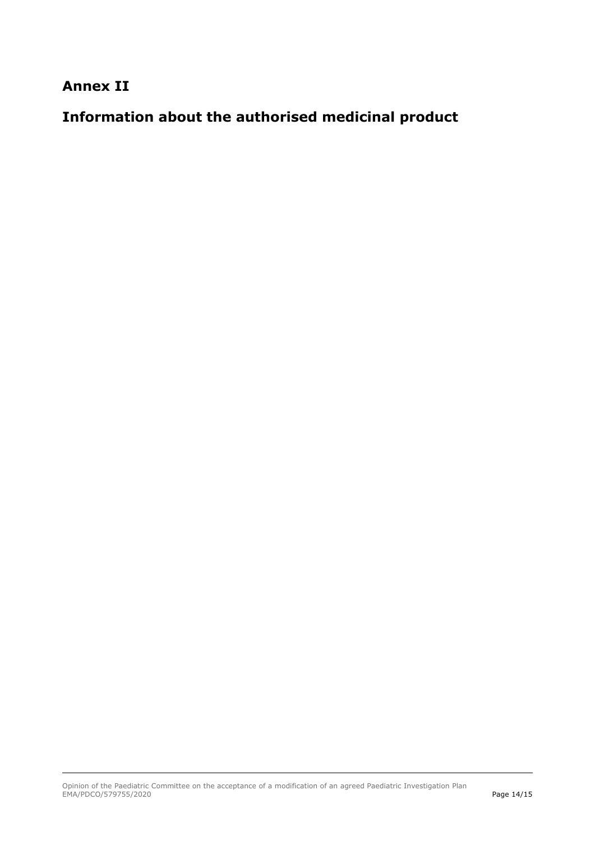## **Annex II**

# **Information about the authorised medicinal product**